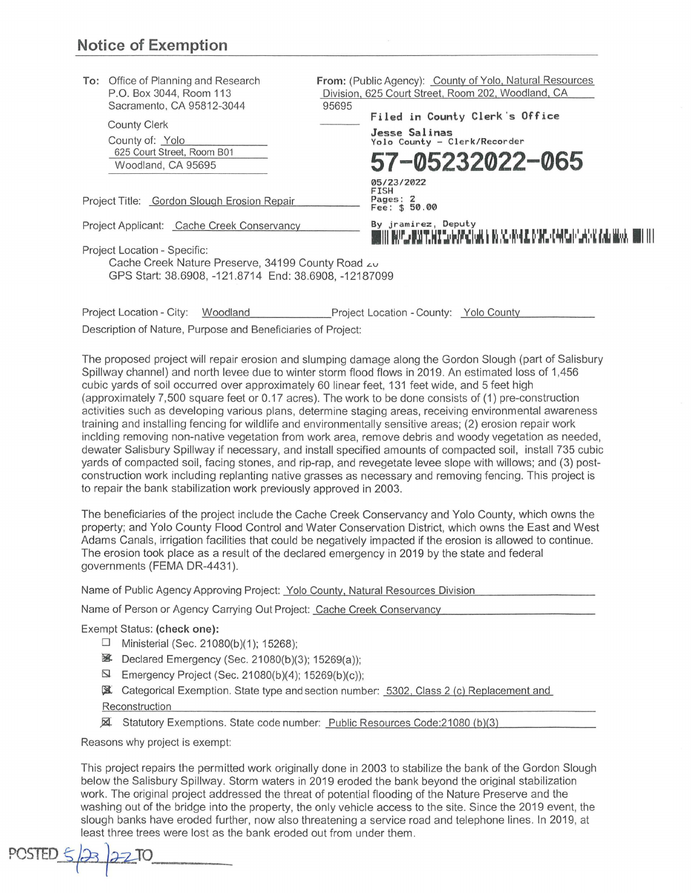| To: Office of Planning and Research<br>P.O. Box 3044, Room 113<br>Sacramento, CA 95812-3044                                                | From: (Public Agency): County of Yolo, Natural Resources<br>Division, 625 Court Street, Room 202, Woodland, CA<br>95695               |
|--------------------------------------------------------------------------------------------------------------------------------------------|---------------------------------------------------------------------------------------------------------------------------------------|
| <b>County Clerk</b><br>County of: Yolo<br>625 Court Street, Room B01<br>Woodland, CA 95695                                                 | Filed in County Clerk's Office<br>Jesse Salinas<br>Yolo County - Clerk/Recorder<br>57-05232022-065                                    |
| Project Title: Gordon Slough Erosion Repair                                                                                                | 05/23/2022<br>FISH<br>Pages: 2<br>Fee: \$ 50.00                                                                                       |
| Project Applicant: Cache Creek Conservancy                                                                                                 | By jramirez, Deputy<br>INT INAPLA INSERTANT TO GOPACITON IT TO GO. ANY 400 DAMPLA CAN CONFUARY IN INSERTIAL INITIAL INITIAL INTERFERI |
| Project Location - Specific:<br>Cache Creek Nature Preserve, 34199 County Road zu<br>GPS Start: 38.6908, -121.8714 End: 38.6908, -12187099 |                                                                                                                                       |
| Project Location - City:<br>Woodland                                                                                                       | Project Location - County: Yolo County                                                                                                |
| Description of Nature, Purpose and Beneficiaries of Project:                                                                               |                                                                                                                                       |
|                                                                                                                                            | The proposed project will repair erosion and slumping damage along the Gordon Slough (part of Salisbury                               |

Spillway channel) and north levee due to winter storm flood flows in 2019. An estimated loss of 1,456 cubic yards of soil occurred over approximately 60 linear feet, 131 feet wide, and 5 feet high (approximately 7,500 square feet or 0.17 acres). The work to be done cons ists of (1) pre-construction activities such as developing various plans, determine staging areas, receiving environmental awareness training and installing fencing for wildlife and environmentally sensitive areas; (2) erosion repair work inclding removing non-native vegetation from work area, remove debris and woody vegetation as needed, dewater Salisbury Spillway if necessary, and install specified amounts of compacted soil, install 735 cubic yards of compacted soil, facing stones, and rip-rap, and revegetate levee slope with willows; and (3) postconstruction work including replanting native grasses as necessary and removing fencing. This project is to repair the bank stabilization work previously approved in 2003.

The beneficiaries of the project include the Cache Creek Conservancy and Yolo County, which owns the property; and Yolo County Flood Control and Water Conservation District, which owns the East and West Adams Canals, irrigation facilities that could be negatively impacted if the erosion is allowed to continue. The erosion took place as a result of the declared emergency in 2019 by the state and federal governments (FEMA DR-4431 ).

Name of Public Agency Approving Project: Yolo County, Natural Resources Division

Name of Person or Agency Carrying Out Project: Cache Creek Conservancy

Exempt Status: **(check one):** 

- $\Box$  Ministerial (Sec. 21080(b)(1); 15268);
- 图 Declared Emergency (Sec. 21080(b)(3); 15269(a));
- $\Box$  Emergency Project (Sec. 21080(b)(4); 15269(b)(c));
- ~ Categorical Exemption. State type and section number: 5302, Class 2 /cl Replacement and

Reconstruction

¼ Statutory Exemptions. State code number: Public Resources Code:21080 /b)/3)

Reasons why project is exempt:

This project repairs the permitted work originally done in 2003 to stabilize the bank of the Gordon Slough below the Salisbury Spillway. Storm waters in 2019 eroded the bank beyond the original stabilization work. The original project addressed the threat of potential flooding of the Nature Preserve and the washing out of the bridge into the property, the only vehicle access to the site. Since the 2019 event, the slough banks have eroded further, now also threatening a service road and telephone lines . In 2019, at least three trees were lost as the bank eroded out from under them.

 $PCSIED \leq |23| 2210$